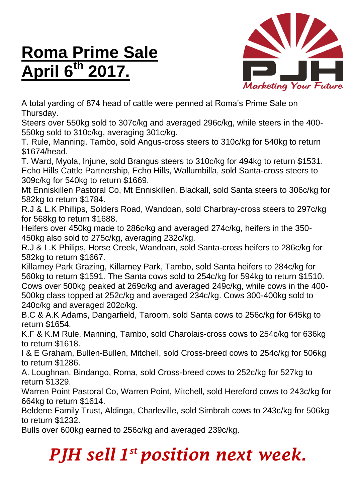## **Roma Prime Sale April 6 th 2017.**



A total yarding of 874 head of cattle were penned at Roma's Prime Sale on Thursday.

Steers over 550kg sold to 307c/kg and averaged 296c/kg, while steers in the 400- 550kg sold to 310c/kg, averaging 301c/kg.

T. Rule, Manning, Tambo, sold Angus-cross steers to 310c/kg for 540kg to return \$1674/head.

T. Ward, Myola, Injune, sold Brangus steers to 310c/kg for 494kg to return \$1531. Echo Hills Cattle Partnership, Echo Hills, Wallumbilla, sold Santa-cross steers to 309c/kg for 540kg to return \$1669.

Mt Enniskillen Pastoral Co, Mt Enniskillen, Blackall, sold Santa steers to 306c/kg for 582kg to return \$1784.

R.J & L.K Phillips, Solders Road, Wandoan, sold Charbray-cross steers to 297c/kg for 568kg to return \$1688.

Heifers over 450kg made to 286c/kg and averaged 274c/kg, heifers in the 350- 450kg also sold to 275c/kg, averaging 232c/kg.

R.J & L.K Philips, Horse Creek, Wandoan, sold Santa-cross heifers to 286c/kg for 582kg to return \$1667.

Killarney Park Grazing, Killarney Park, Tambo, sold Santa heifers to 284c/kg for 560kg to return \$1591. The Santa cows sold to 254c/kg for 594kg to return \$1510. Cows over 500kg peaked at 269c/kg and averaged 249c/kg, while cows in the 400- 500kg class topped at 252c/kg and averaged 234c/kg. Cows 300-400kg sold to 240c/kg and averaged 202c/kg.

B.C & A.K Adams, Dangarfield, Taroom, sold Santa cows to 256c/kg for 645kg to return \$1654.

K.F & K.M Rule, Manning, Tambo, sold Charolais-cross cows to 254c/kg for 636kg to return \$1618.

I & E Graham, Bullen-Bullen, Mitchell, sold Cross-breed cows to 254c/kg for 506kg to return \$1286.

A. Loughnan, Bindango, Roma, sold Cross-breed cows to 252c/kg for 527kg to return \$1329.

Warren Point Pastoral Co, Warren Point, Mitchell, sold Hereford cows to 243c/kg for 664kg to return \$1614.

Beldene Family Trust, Aldinga, Charleville, sold Simbrah cows to 243c/kg for 506kg to return \$1232.

Bulls over 600kg earned to 256c/kg and averaged 239c/kg.

## *PJH sell 1 st position next week.*